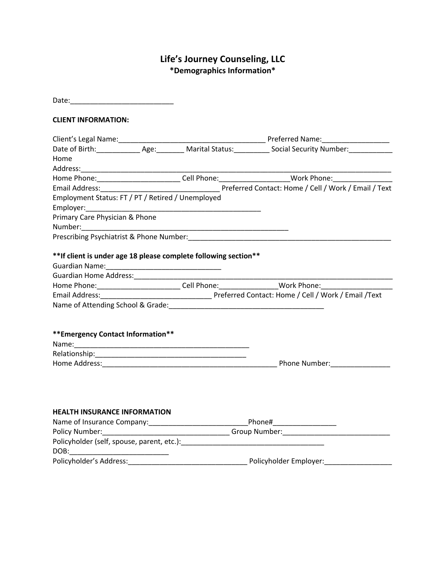# **Life's Journey Counseling, LLC \*Demographics Information\***

| <b>CLIENT INFORMATION:</b>                                                                                      |                                                                                                      |
|-----------------------------------------------------------------------------------------------------------------|------------------------------------------------------------------------------------------------------|
|                                                                                                                 |                                                                                                      |
|                                                                                                                 |                                                                                                      |
| Home                                                                                                            |                                                                                                      |
|                                                                                                                 |                                                                                                      |
|                                                                                                                 |                                                                                                      |
|                                                                                                                 | Preferred Contact: Home / Cell / Work / Email / Text                                                 |
| Employment Status: FT / PT / Retired / Unemployed                                                               |                                                                                                      |
|                                                                                                                 |                                                                                                      |
| Primary Care Physician & Phone                                                                                  |                                                                                                      |
|                                                                                                                 |                                                                                                      |
| Prescribing Psychiatrist & Phone Number: National Account of the Contractor of the Contractor of the Contractor |                                                                                                      |
| ** If client is under age 18 please complete following section**                                                | Home Phone: ___________________________Cell Phone: __________________Work Phone: ___________________ |
|                                                                                                                 |                                                                                                      |
|                                                                                                                 |                                                                                                      |
| ** Emergency Contact Information**                                                                              |                                                                                                      |
| <b>HEALTH INSURANCE INFORMATION</b>                                                                             |                                                                                                      |
|                                                                                                                 |                                                                                                      |
|                                                                                                                 |                                                                                                      |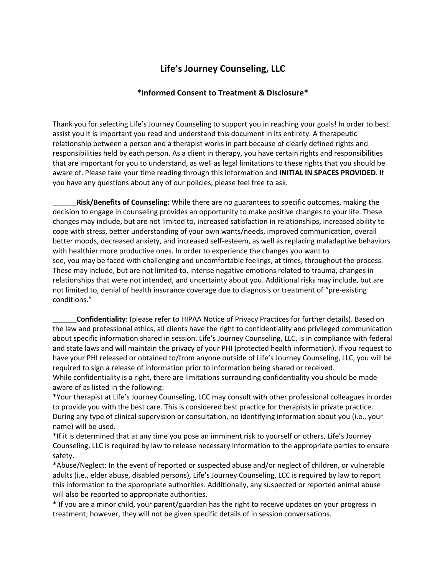## **Life's Journey Counseling, LLC**

#### **\*Informed Consent to Treatment & Disclosure\***

Thank you for selecting Life's Journey Counseling to support you in reaching your goals! In order to best assist you it is important you read and understand this document in its entirety. A therapeutic relationship between a person and a therapist works in part because of clearly defined rights and responsibilities held by each person. As a client in therapy, you have certain rights and responsibilities that are important for you to understand, as well as legal limitations to these rights that you should be aware of. Please take your time reading through this information and **INITIAL IN SPACES PROVIDED**. If you have any questions about any of our policies, please feel free to ask.

\_\_\_\_\_\_**Risk/Benefits of Counseling:** While there are no guarantees to specific outcomes, making the decision to engage in counseling provides an opportunity to make positive changes to your life. These changes may include, but are not limited to, increased satisfaction in relationships, increased ability to cope with stress, better understanding of your own wants/needs, improved communication, overall better moods, decreased anxiety, and increased self-esteem, as well as replacing maladaptive behaviors with healthier more productive ones. In order to experience the changes you want to see, you may be faced with challenging and uncomfortable feelings, at times, throughout the process. These may include, but are not limited to, intense negative emotions related to trauma, changes in relationships that were not intended, and uncertainty about you. Additional risks may include, but are not limited to, denial of health insurance coverage due to diagnosis or treatment of "pre-existing conditions."

\_\_\_\_\_\_**Confidentiality**: (please refer to HIPAA Notice of Privacy Practices for further details). Based on the law and professional ethics, all clients have the right to confidentiality and privileged communication about specific information shared in session. Life's Journey Counseling, LLC, is in compliance with federal and state laws and will maintain the privacy of your PHI (protected health information). If you request to have your PHI released or obtained to/from anyone outside of Life's Journey Counseling, LLC, you will be required to sign a release of information prior to information being shared or received. While confidentiality is a right, there are limitations surrounding confidentiality you should be made

aware of as listed in the following:

\*Your therapist at Life's Journey Counseling, LCC may consult with other professional colleagues in order to provide you with the best care. This is considered best practice for therapists in private practice. During any type of clinical supervision or consultation, no identifying information about you (i.e., your name) will be used.

\*If it is determined that at any time you pose an imminent risk to yourself or others, Life's Journey Counseling, LLC is required by law to release necessary information to the appropriate parties to ensure safety.

\*Abuse/Neglect: In the event of reported or suspected abuse and/or neglect of children, or vulnerable adults (i.e., elder abuse, disabled persons), Life's Journey Counseling, LCC is required by law to report this information to the appropriate authorities. Additionally, any suspected or reported animal abuse will also be reported to appropriate authorities.

\* If you are a minor child, your parent/guardian has the right to receive updates on your progress in treatment; however, they will not be given specific details of in session conversations.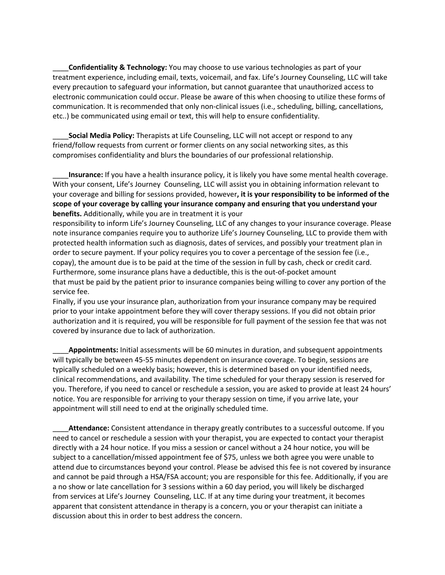\_\_\_\_**Confidentiality & Technology:** You may choose to use various technologies as part of your treatment experience, including email, texts, voicemail, and fax. Life's Journey Counseling, LLC will take every precaution to safeguard your information, but cannot guarantee that unauthorized access to electronic communication could occur. Please be aware of this when choosing to utilize these forms of communication. It is recommended that only non-clinical issues (i.e., scheduling, billing, cancellations, etc..) be communicated using email or text, this will help to ensure confidentiality.

\_\_\_\_**Social Media Policy:** Therapists at Life Counseling, LLC will not accept or respond to any friend/follow requests from current or former clients on any social networking sites, as this compromises confidentiality and blurs the boundaries of our professional relationship.

\_\_\_\_**Insurance:** If you have a health insurance policy, it is likely you have some mental health coverage. With your consent, Life's Journey Counseling, LLC will assist you in obtaining information relevant to your coverage and billing for sessions provided, however**, it is your responsibility to be informed of the scope of your coverage by calling your insurance company and ensuring that you understand your benefits.** Additionally, while you are in treatment it is your

responsibility to inform Life's Journey Counseling, LLC of any changes to your insurance coverage. Please note insurance companies require you to authorize Life's Journey Counseling, LLC to provide them with protected health information such as diagnosis, dates of services, and possibly your treatment plan in order to secure payment. If your policy requires you to cover a percentage of the session fee (i.e., copay), the amount due is to be paid at the time of the session in full by cash, check or credit card. Furthermore, some insurance plans have a deductible, this is the out-of-pocket amount that must be paid by the patient prior to insurance companies being willing to cover any portion of the service fee.

Finally, if you use your insurance plan, authorization from your insurance company may be required prior to your intake appointment before they will cover therapy sessions. If you did not obtain prior authorization and it is required, you will be responsible for full payment of the session fee that was not covered by insurance due to lack of authorization.

\_\_\_\_**Appointments:** Initial assessments will be 60 minutes in duration, and subsequent appointments will typically be between 45-55 minutes dependent on insurance coverage. To begin, sessions are typically scheduled on a weekly basis; however, this is determined based on your identified needs, clinical recommendations, and availability. The time scheduled for your therapy session is reserved for you. Therefore, if you need to cancel or reschedule a session, you are asked to provide at least 24 hours' notice. You are responsible for arriving to your therapy session on time, if you arrive late, your appointment will still need to end at the originally scheduled time.

\_\_\_\_**Attendance:** Consistent attendance in therapy greatly contributes to a successful outcome. If you need to cancel or reschedule a session with your therapist, you are expected to contact your therapist directly with a 24 hour notice. If you miss a session or cancel without a 24 hour notice, you will be subject to a cancellation/missed appointment fee of \$75, unless we both agree you were unable to attend due to circumstances beyond your control. Please be advised this fee is not covered by insurance and cannot be paid through a HSA/FSA account; you are responsible for this fee. Additionally, if you are a no show or late cancellation for 3 sessions within a 60 day period, you will likely be discharged from services at Life's Journey Counseling, LLC. If at any time during your treatment, it becomes apparent that consistent attendance in therapy is a concern, you or your therapist can initiate a discussion about this in order to best address the concern.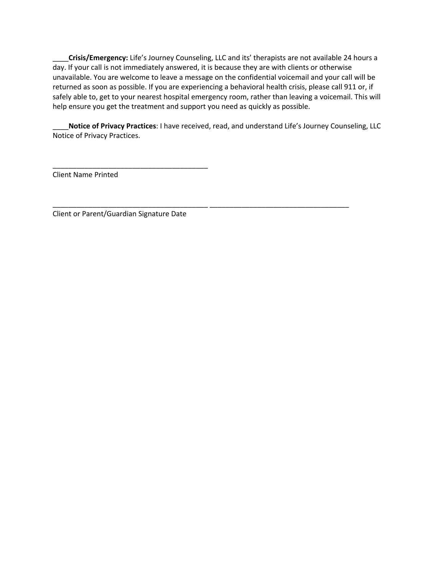\_\_\_\_**Crisis/Emergency:** Life's Journey Counseling, LLC and its' therapists are not available 24 hours a day. If your call is not immediately answered, it is because they are with clients or otherwise unavailable. You are welcome to leave a message on the confidential voicemail and your call will be returned as soon as possible. If you are experiencing a behavioral health crisis, please call 911 or, if safely able to, get to your nearest hospital emergency room, rather than leaving a voicemail. This will help ensure you get the treatment and support you need as quickly as possible.

\_\_\_\_**Notice of Privacy Practices**: I have received, read, and understand Life's Journey Counseling, LLC Notice of Privacy Practices.

\_\_\_\_\_\_\_\_\_\_\_\_\_\_\_\_\_\_\_\_\_\_\_\_\_\_\_\_\_\_\_\_\_\_\_\_\_\_\_ \_\_\_\_\_\_\_\_\_\_\_\_\_\_\_\_\_\_\_\_\_\_\_\_\_\_\_\_\_\_\_\_\_\_\_

Client Name Printed

Client or Parent/Guardian Signature Date

\_\_\_\_\_\_\_\_\_\_\_\_\_\_\_\_\_\_\_\_\_\_\_\_\_\_\_\_\_\_\_\_\_\_\_\_\_\_\_